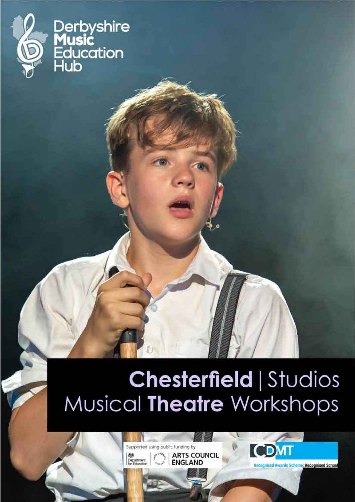

Derbyshire<br>**Music**<br>Education<br>Hub

## Chesterfield | Studios Musical Theatre Workshops

Supported using public funding by **ARTS COUNCIL Age**<br>Department **FNGLAND** 

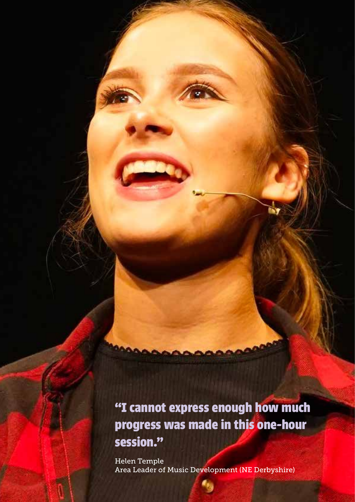**"I cannot express enough how much progress was made in this one-hour session."**

Helen Temple Area Leader of Music Development (NE Derbyshire)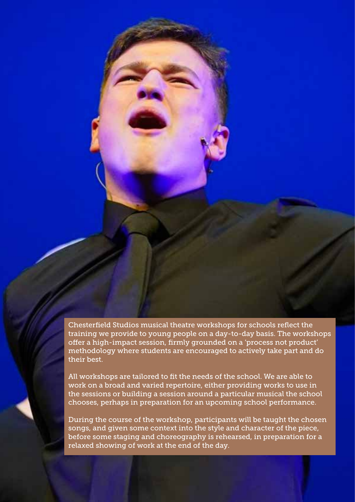Chesterfield Studios musical theatre workshops for schools reflect the training we provide to young people on a day-to-day basis. The workshops offer a high-impact session, firmly grounded on a 'process not product' methodology where students are encouraged to actively take part and do their best.

All workshops are tailored to fit the needs of the school. We are able to work on a broad and varied repertoire, either providing works to use in the sessions or building a session around a particular musical the school chooses, perhaps in preparation for an upcoming school performance.

During the course of the workshop, participants will be taught the chosen songs, and given some context into the style and character of the piece, before some staging and choreography is rehearsed, in preparation for a relaxed showing of work at the end of the day.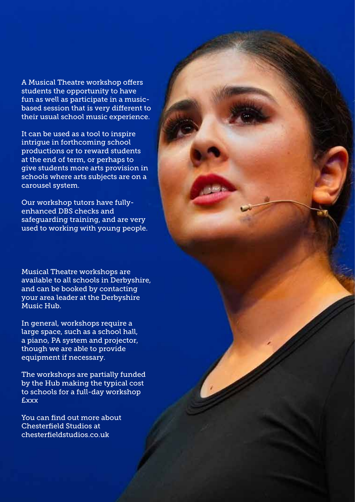A Musical Theatre workshop offers students the opportunity to have fun as well as participate in a musicbased session that is very different to their usual school music experience.

It can be used as a tool to inspire intrigue in forthcoming school productions or to reward students at the end of term, or perhaps to give students more arts provision in schools where arts subjects are on a carousel system.

Our workshop tutors have fullyenhanced DBS checks and safeguarding training, and are very used to working with young people.

Musical Theatre workshops are available to all schools in Derbyshire, and can be booked by contacting your area leader at the Derbyshire Music Hub.

In general, workshops require a large space, such as a school hall, a piano, PA system and projector, though we are able to provide equipment if necessary.

The workshops are partially funded by the Hub making the typical cost to schools for a full-day workshop £xxx

You can find out more about Chesterfield Studios at chesterfieldstudios.co.uk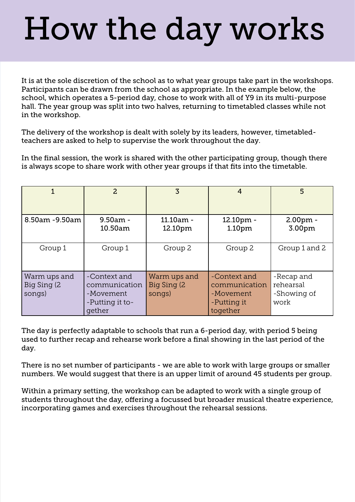## How the day works

It is at the sole discretion of the school as to what year groups take part in the workshops. Participants can be drawn from the school as appropriate. In the example below, the school, which operates a 5-period day, chose to work with all of Y9 in its multi-purpose hall. The year group was split into two halves, returning to timetabled classes while not in the workshop.

The delivery of the workshop is dealt with solely by its leaders, however, timetabledteachers are asked to help to supervise the work throughout the day.

In the final session, the work is shared with the other participating group, though there is always scope to share work with other year groups if that fits into the timetable.

|                                        | $\overline{2}$                                                          | 3                                      | 4                                                                     | 5                                              |
|----------------------------------------|-------------------------------------------------------------------------|----------------------------------------|-----------------------------------------------------------------------|------------------------------------------------|
| 8.50am -9.50am                         | $9.50am -$<br>10.50am                                                   | $11.10am -$<br>12.10pm                 | 12.10pm -<br>1.10pm                                                   | $2.00pm$ -<br>3.00pm                           |
| Group 1                                | Group 1                                                                 | Group 2                                | Group 2                                                               | Group 1 and 2                                  |
| Warm ups and<br>Big Sing (2)<br>songs) | -Context and<br>communication<br>-Movement<br>-Putting it to-<br>gether | Warm ups and<br>Big Sing (2)<br>songs) | -Context and<br>communication<br>-Movement<br>-Putting it<br>together | -Recap and<br>rehearsal<br>-Showing of<br>work |

The day is perfectly adaptable to schools that run a 6-period day, with period 5 being used to further recap and rehearse work before a final showing in the last period of the day.

There is no set number of participants - we are able to work with large groups or smaller numbers. We would suggest that there is an upper limit of around 45 students per group.

Within a primary setting, the workshop can be adapted to work with a single group of students throughout the day, offering a focussed but broader musical theatre experience, incorporating games and exercises throughout the rehearsal sessions.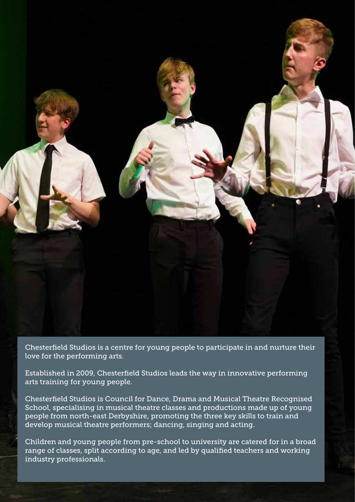

Chesterfield Studios is a centre for young people to participate in and nurture their love for the performing arts.

Established in 2009, Chesterfield Studios leads the way in innovative performing arts training for young people.

Chesterfield Studios is Council for Dance, Drama and Musical Theatre Recognised School, specialising in musical theatre classes and productions made up of young people from north-east Derbyshire, promoting the three key skills to train and develop musical theatre performers; dancing, singing and acting.

Children and young people from pre-school to university are catered for in a broad range of classes, split according to age, and led by qualified teachers and working industry professionals.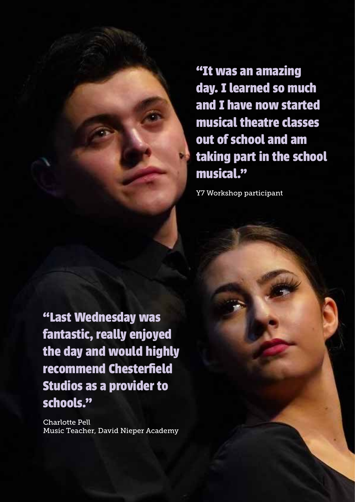**"It was an amazing day. I learned so much and I have now started musical theatre classes out of school and am taking part in the school musical."**

Y7 Workshop participant

**"Last Wednesday was fantastic, really enjoyed the day and would highly recommend Chesterfield Studios as a provider to schools."**

Charlotte Pell Music Teacher, David Nieper Academy